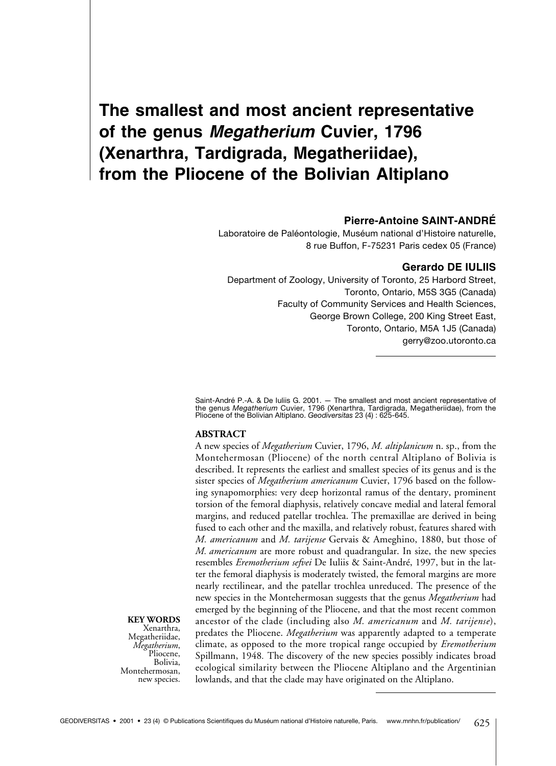# **The smallest and most ancient representative of the genus** *Megatherium* **Cuvier, 1796 (Xenarthra, Tardigrada, Megatheriidae), from the Pliocene of the Bolivian Altiplano**

## **Pierre-Antoine SAINT-ANDRÉ**

Laboratoire de Paléontologie, Muséum national d'Histoire naturelle, 8 rue Buffon, F-75231 Paris cedex 05 (France)

#### **Gerardo DE IULIIS**

Department of Zoology, University of Toronto, 25 Harbord Street, Toronto, Ontario, M5S 3G5 (Canada) Faculty of Community Services and Health Sciences, George Brown College, 200 King Street East, Toronto, Ontario, M5A 1J5 (Canada) gerry@zoo.utoronto.ca

Saint-André P.-A. & De Iuliis G. 2001. — The smallest and most ancient representative of<br>the genus *Megatherium* Cuvier, 1796 (Xenarthra, Tardigrada, Megatheriidae), from the<br>Pliocene of the Bolivian Altiplano. Geo*diversi* 

## **ABSTRACT**

A new species of *Megatherium* Cuvier, 1796, *M. altiplanicum* n. sp., from the Montehermosan (Pliocene) of the north central Altiplano of Bolivia is described. It represents the earliest and smallest species of its genus and is the sister species of *Megatherium americanum* Cuvier, 1796 based on the following synapomorphies: very deep horizontal ramus of the dentary, prominent torsion of the femoral diaphysis, relatively concave medial and lateral femoral margins, and reduced patellar trochlea. The premaxillae are derived in being fused to each other and the maxilla, and relatively robust, features shared with *M. americanum* and *M. tarijense* Gervais & Ameghino, 1880, but those of *M. americanum* are more robust and quadrangular. In size, the new species resembles *Eremotherium sefvei* De Iuliis & Saint-André, 1997, but in the latter the femoral diaphysis is moderately twisted, the femoral margins are more nearly rectilinear, and the patellar trochlea unreduced. The presence of the new species in the Montehermosan suggests that the genus *Megatherium* had emerged by the beginning of the Pliocene, and that the most recent common ancestor of the clade (including also *M. americanum* and *M. tarijense*), predates the Pliocene. *Megatherium* was apparently adapted to a temperate climate, as opposed to the more tropical range occupied by *Eremotherium* Spillmann, 1948*.* The discovery of the new species possibly indicates broad ecological similarity between the Pliocene Altiplano and the Argentinian lowlands, and that the clade may have originated on the Altiplano.

**KEY WORDS**

Xenarthra, Megatheriidae, *Megatherium*,<br>Pliocene, Bolivia, Montehermosan, new species.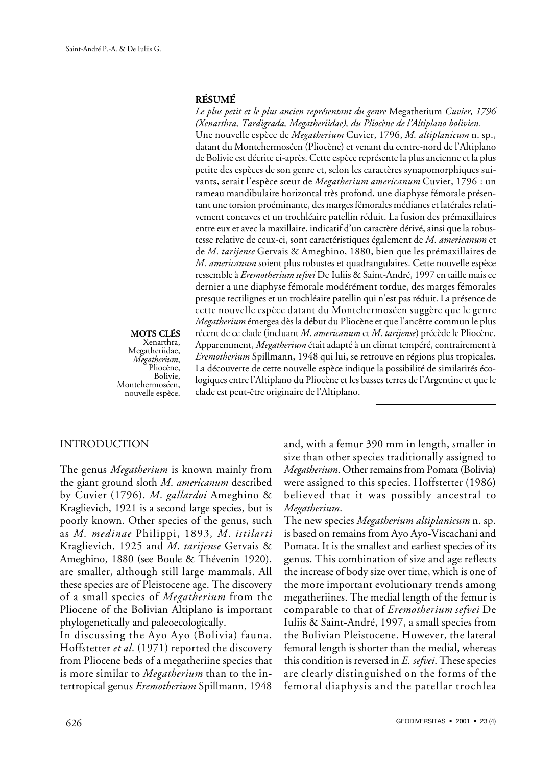#### **RÉSUMÉ**

*Le plus petit et le plus ancien représentant du genre* Megatherium *Cuvier, 1796 (Xenarthra, Tardigrada, Megatheriidae), du Pliocène de l'Altiplano bolivien.* Une nouvelle espèce de *Megatherium* Cuvier, 1796, *M. altiplanicum* n. sp., datant du Montehermoséen (Pliocène) et venant du centre-nord de l'Altiplano de Bolivie est décrite ci-après. Cette espèce représente la plus ancienne et la plus petite des espèces de son genre et, selon les caractères synapomorphiques suivants, serait l'espèce sœur de *Megatherium americanum* Cuvier, 1796 : un rameau mandibulaire horizontal très profond, une diaphyse fémorale présentant une torsion proéminante, des marges fémorales médianes et latérales relativement concaves et un trochléaire patellin réduit. La fusion des prémaxillaires entre eux et avec la maxillaire, indicatif d'un caractère dérivé, ainsi que la robustesse relative de ceux-ci, sont caractéristiques également de *M*. *americanum* et de *M*. *tarijense* Gervais & Ameghino, 1880, bien que les prémaxillaires de *M*. *americanum* soient plus robustes et quadrangulaires. Cette nouvelle espèce ressemble à *Eremotherium sefvei* De Iuliis & Saint-André, 1997 en taille mais ce dernier a une diaphyse fémorale modérément tordue, des marges fémorales presque rectilignes et un trochléaire patellin qui n'est pas réduit. La présence de cette nouvelle espèce datant du Montehermoséen suggère que le genre *Megatherium* émergea dès la début du Pliocène et que l'ancêtre commun le plus récent de ce clade (incluant *M*. *americanum* et *M*. *tarijense*) précède le Pliocène. Apparemment, *Megatherium* était adapté à un climat tempéré, contrairement à *Eremotherium* Spillmann, 1948 qui lui, se retrouve en régions plus tropicales. La découverte de cette nouvelle espèce indique la possibilité de similarités écologiques entre l'Altiplano du Pliocène et les basses terres de l'Argentine et que le clade est peut-être originaire de l'Altiplano.

**MOTS CLÉS** Xenarthra, Megatheriidae, *Megatherium*,<br>Pliocène, Bolivie, Montehermoséen, nouvelle espèce.

## INTRODUCTION

The genus *Megatherium* is known mainly from the giant ground sloth *M*. *americanum* described by Cuvier (1796). *M*. *gallardoi* Ameghino & Kraglievich, 1921 is a second large species, but is poorly known. Other species of the genus, such as *M. medinae* Philippi, 1893*, M*. *istilarti* Kraglievich, 1925 and *M*. *tarijense* Gervais & Ameghino, 1880 (see Boule & Thévenin 1920), are smaller, although still large mammals. All these species are of Pleistocene age. The discovery of a small species of *Megatherium* from the Pliocene of the Bolivian Altiplano is important phylogenetically and paleoecologically.

In discussing the Ayo Ayo (Bolivia) fauna, Hoffstetter *et al*. (1971) reported the discovery from Pliocene beds of a megatheriine species that is more similar to *Megatherium* than to the intertropical genus *Eremotherium* Spillmann, 1948 and, with a femur 390 mm in length, smaller in size than other species traditionally assigned to *Megatherium*. Other remains from Pomata (Bolivia) were assigned to this species. Hoffstetter (1986) believed that it was possibly ancestral to *Megatherium*.

The new species *Megatherium altiplanicum* n. sp. is based on remains from Ayo Ayo-Viscachani and Pomata. It is the smallest and earliest species of its genus. This combination of size and age reflects the increase of body size over time, which is one of the more important evolutionary trends among megatheriines. The medial length of the femur is comparable to that of *Eremotherium sefvei* De Iuliis & Saint-André, 1997, a small species from the Bolivian Pleistocene. However, the lateral femoral length is shorter than the medial, whereas this condition is reversed in *E. sefvei*. These species are clearly distinguished on the forms of the femoral diaphysis and the patellar trochlea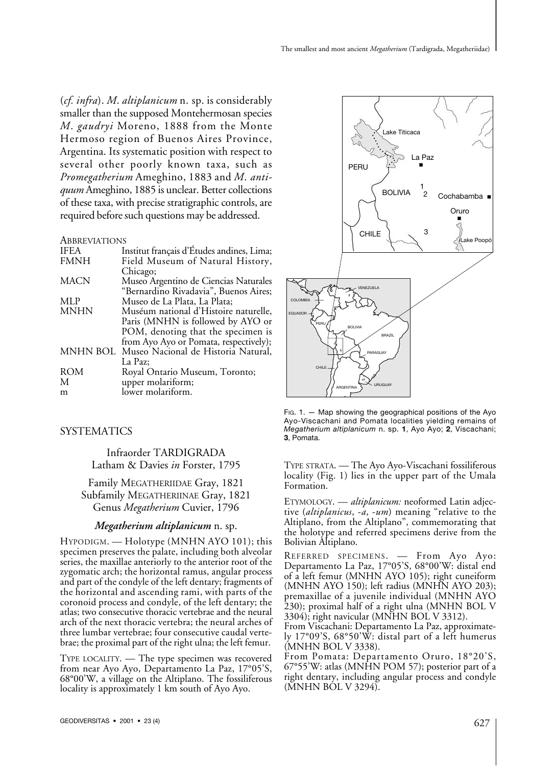(*cf. infra*). *M*. *altiplanicum* n. sp. is considerably smaller than the supposed Montehermosan species *M*. *gaudryi* Moreno, 1888 from the Monte Hermoso region of Buenos Aires Province, Argentina. Its systematic position with respect to several other poorly known taxa, such as *Promegatherium* Ameghino, 1883 and *M*. *antiquum* Ameghino, 1885 is unclear. Better collections of these taxa, with precise stratigraphic controls, are required before such questions may be addressed.

#### **ABBREVIATIONS**

| <b>IFEA</b> | Institut français d'Études andines, Lima;    |
|-------------|----------------------------------------------|
| <b>FMNH</b> | Field Museum of Natural History,             |
|             | Chicago;                                     |
| <b>MACN</b> | Museo Argentino de Ciencias Naturales        |
|             | "Bernardino Rivadavia", Buenos Aires;        |
| MLP         | Museo de La Plata, La Plata;                 |
| <b>MNHN</b> | Muséum national d'Histoire naturelle,        |
|             | Paris (MNHN is followed by AYO or            |
|             | POM, denoting that the specimen is           |
|             | from Ayo Ayo or Pomata, respectively);       |
|             | MNHN BOL Museo Nacional de Historia Natural, |
|             | La Paz:                                      |
| <b>ROM</b>  | Royal Ontario Museum, Toronto;               |
| M           | upper molariform;                            |
| m           | lower molariform.                            |
|             |                                              |

## **SYSTEMATICS**

Infraorder TARDIGRADA Latham & Davies *in* Forster, 1795

Family MEGATHERIIDAE Gray, 1821 Subfamily MEGATHERIINAE Gray, 1821 Genus *Megatherium* Cuvier, 1796

#### *Megatherium altiplanicum* n. sp.

HYPODIGM. — Holotype (MNHN AYO 101); this specimen preserves the palate, including both alveolar series, the maxillae anteriorly to the anterior root of the zygomatic arch; the horizontal ramus, angular process and part of the condyle of the left dentary; fragments of the horizontal and ascending rami, with parts of the coronoid process and condyle, of the left dentary; the atlas; two consecutive thoracic vertebrae and the neural arch of the next thoracic vertebra; the neural arches of three lumbar vertebrae; four consecutive caudal vertebrae; the proximal part of the right ulna; the left femur.

TYPE LOCALITY. — The type specimen was recovered from near Ayo Ayo, Departamento La Paz, 17°05'S, 68°00'W, a village on the Altiplano. The fossiliferous locality is approximately 1 km south of Ayo Ayo.



FIG. 1. — Map showing the geographical positions of the Ayo Ayo-Viscachani and Pomata localities yielding remains of *Megatherium altiplanicum* n. sp. **1**, Ayo Ayo; **2**, Viscachani; **3**, Pomata.

TYPE STRATA. — The Ayo Ayo-Viscachani fossiliferous locality (Fig. 1) lies in the upper part of the Umala Formation.

ETYMOLOGY. — *altiplanicum:* neoformed Latin adjective (*altiplanicus*, -*a*, -*um*) meaning "relative to the Altiplano, from the Altiplano", commemorating that the holotype and referred specimens derive from the Bolivian Altiplano.

REFERRED SPECIMENS. — From Ayo Ayo: Departamento La Paz, 17°05'S, 68°00'W: distal end of a left femur (MNHN AYO 105); right cuneiform (MNHN AYO 150); left radius (MNHN AYO 203); premaxillae of a juvenile individual (MNHN AYO 230); proximal half of a right ulna (MNHN BOL V 3304); right navicular (MNHN BOL V 3312).

From Viscachani: Departamento La Paz, approximately 17°09'S, 68°50'W: distal part of a left humerus (MNHN BOL V 3338).

From Pomata: Departamento Oruro, 18°20'S, 67°55'W: atlas (MNHN POM 57); posterior part of a right dentary, including angular process and condyle  $(MNHN BOL V 3294)$ .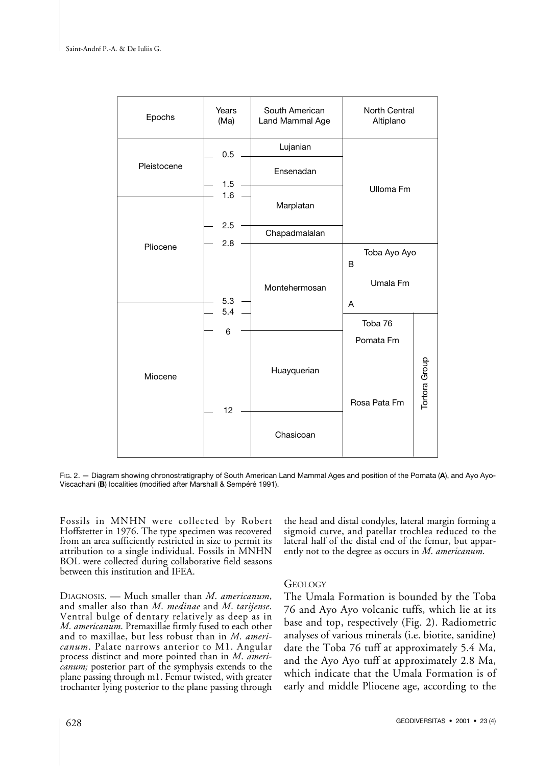

FIG. 2. — Diagram showing chronostratigraphy of South American Land Mammal Ages and position of the Pomata (**A**), and Ayo Ayo-Viscachani (**B**) localities (modified after Marshall & Sempéré 1991).

Fossils in MNHN were collected by Robert Hoffstetter in 1976. The type specimen was recovered from an area sufficiently restricted in size to permit its attribution to a single individual. Fossils in MNHN BOL were collected during collaborative field seasons between this institution and IFEA.

DIAGNOSIS. — Much smaller than *M*. *americanum*, and smaller also than *M*. *medinae* and *M*. *tarijense*. Ventral bulge of dentary relatively as deep as in *M*. *americanum*. Premaxillae firmly fused to each other and to maxillae, but less robust than in *M*. *americanum*. Palate narrows anterior to M1. Angular process distinct and more pointed than in *M*. *americanum;* posterior part of the symphysis extends to the plane passing through m1. Femur twisted, with greater trochanter lying posterior to the plane passing through

the head and distal condyles, lateral margin forming a sigmoid curve, and patellar trochlea reduced to the lateral half of the distal end of the femur, but apparently not to the degree as occurs in *M*. *americanum*.

## GEOLOGY

The Umala Formation is bounded by the Toba 76 and Ayo Ayo volcanic tuffs, which lie at its base and top, respectively (Fig. 2). Radiometric analyses of various minerals (i.e. biotite, sanidine) date the Toba 76 tuff at approximately 5.4 Ma, and the Ayo Ayo tuff at approximately 2.8 Ma, which indicate that the Umala Formation is of early and middle Pliocene age, according to the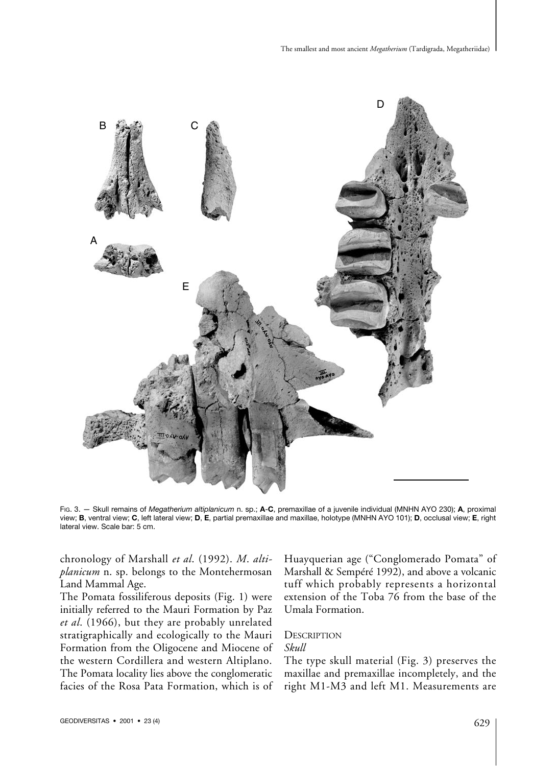

FIG. 3. — Skull remains of *Megatherium altiplanicum* n. sp.; **A**-**C**, premaxillae of a juvenile individual (MNHN AYO 230); **A**, proximal view; **B**, ventral view; **C**, left lateral view; **D**, **E**, partial premaxillae and maxillae, holotype (MNHN AYO 101); **D**, occlusal view; **E**, right lateral view. Scale bar: 5 cm.

chronology of Marshall *et al*. (1992). *M*. *altiplanicum* n. sp. belongs to the Montehermosan Land Mammal Age.

The Pomata fossiliferous deposits (Fig. 1) were initially referred to the Mauri Formation by Paz *et al*. (1966), but they are probably unrelated stratigraphically and ecologically to the Mauri Formation from the Oligocene and Miocene of the western Cordillera and western Altiplano. The Pomata locality lies above the conglomeratic facies of the Rosa Pata Formation, which is of Huayquerian age ("Conglomerado Pomata" of Marshall & Sempéré 1992), and above a volcanic tuff which probably represents a horizontal extension of the Toba 76 from the base of the Umala Formation.

#### **DESCRIPTION** *Skull*

The type skull material (Fig. 3) preserves the maxillae and premaxillae incompletely, and the right M1-M3 and left M1. Measurements are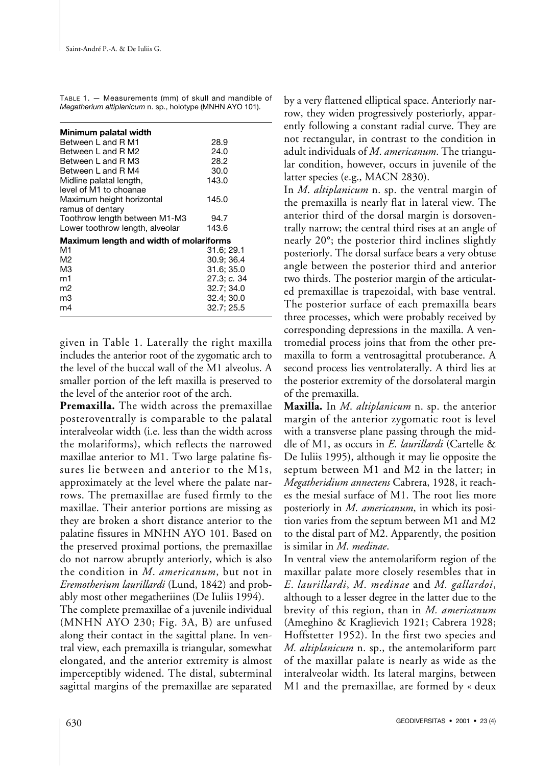| TABLE 1. — Measurements (mm) of skull and mandible of     |  |
|-----------------------------------------------------------|--|
| Megatherium altiplanicum n. sp., holotype (MNHN AYO 101). |  |

| Minimum palatal width                   |             |
|-----------------------------------------|-------------|
| Between L and R M1                      | 28.9        |
| Between L and R M2                      | 24.0        |
| Between L and R M3                      | 28.2        |
| Between L and R M4                      | 30.0        |
| Midline palatal length,                 | 143.0       |
| level of M1 to choanae                  |             |
| Maximum height horizontal               | 145.0       |
| ramus of dentary                        |             |
| Toothrow length between M1-M3           | 94.7        |
| Lower toothrow length, alveolar         | 143.6       |
| Maximum length and width of molariforms |             |
| M1                                      | 31.6; 29.1  |
| M2                                      | 30.9: 36.4  |
| MЗ                                      | 31.6: 35.0  |
| m1                                      | 27.3; c. 34 |
| m2                                      | 32.7; 34.0  |
| mЗ                                      | 32.4; 30.0  |
| m4                                      | 32.7; 25.5  |

given in Table 1. Laterally the right maxilla includes the anterior root of the zygomatic arch to the level of the buccal wall of the M1 alveolus. A smaller portion of the left maxilla is preserved to the level of the anterior root of the arch.

**Premaxilla.** The width across the premaxillae posteroventrally is comparable to the palatal interalveolar width (i.e. less than the width across the molariforms), which reflects the narrowed maxillae anterior to M1. Two large palatine fissures lie between and anterior to the M1s, approximately at the level where the palate narrows. The premaxillae are fused firmly to the maxillae. Their anterior portions are missing as they are broken a short distance anterior to the palatine fissures in MNHN AYO 101. Based on the preserved proximal portions, the premaxillae do not narrow abruptly anteriorly, which is also the condition in *M*. *americanum*, but not in *Eremotherium laurillardi* (Lund, 1842) and probably most other megatheriines (De Iuliis 1994).

The complete premaxillae of a juvenile individual (MNHN AYO 230; Fig. 3A, B) are unfused along their contact in the sagittal plane. In ventral view, each premaxilla is triangular, somewhat elongated, and the anterior extremity is almost imperceptibly widened. The distal, subterminal sagittal margins of the premaxillae are separated by a very flattened elliptical space. Anteriorly narrow, they widen progressively posteriorly, apparently following a constant radial curve. They are not rectangular, in contrast to the condition in adult individuals of *M*. *americanum*. The triangular condition, however, occurs in juvenile of the latter species (e.g., MACN 2830).

In *M*. *altiplanicum* n. sp. the ventral margin of the premaxilla is nearly flat in lateral view. The anterior third of the dorsal margin is dorsoventrally narrow; the central third rises at an angle of nearly 20°; the posterior third inclines slightly posteriorly. The dorsal surface bears a very obtuse angle between the posterior third and anterior two thirds. The posterior margin of the articulated premaxillae is trapezoidal, with base ventral. The posterior surface of each premaxilla bears three processes, which were probably received by corresponding depressions in the maxilla. A ventromedial process joins that from the other premaxilla to form a ventrosagittal protuberance. A second process lies ventrolaterally. A third lies at the posterior extremity of the dorsolateral margin of the premaxilla.

**Maxilla.** In *M*. *altiplanicum* n. sp. the anterior margin of the anterior zygomatic root is level with a transverse plane passing through the middle of M1, as occurs in *E*. *laurillardi* (Cartelle & De Iuliis 1995), although it may lie opposite the septum between M1 and M2 in the latter; in *Megatheridium annectens* Cabrera, 1928, it reaches the mesial surface of M1. The root lies more posteriorly in *M*. *americanum*, in which its position varies from the septum between M1 and M2 to the distal part of M2. Apparently, the position is similar in *M*. *medinae*.

In ventral view the antemolariform region of the maxillar palate more closely resembles that in *E*. *laurillardi*, *M*. *medinae* and *M. gallardoi*, although to a lesser degree in the latter due to the brevity of this region, than in *M. americanum* (Ameghino & Kraglievich 1921; Cabrera 1928; Hoffstetter 1952). In the first two species and *M. altiplanicum* n. sp., the antemolariform part of the maxillar palate is nearly as wide as the interalveolar width. Its lateral margins, between M1 and the premaxillae, are formed by « deux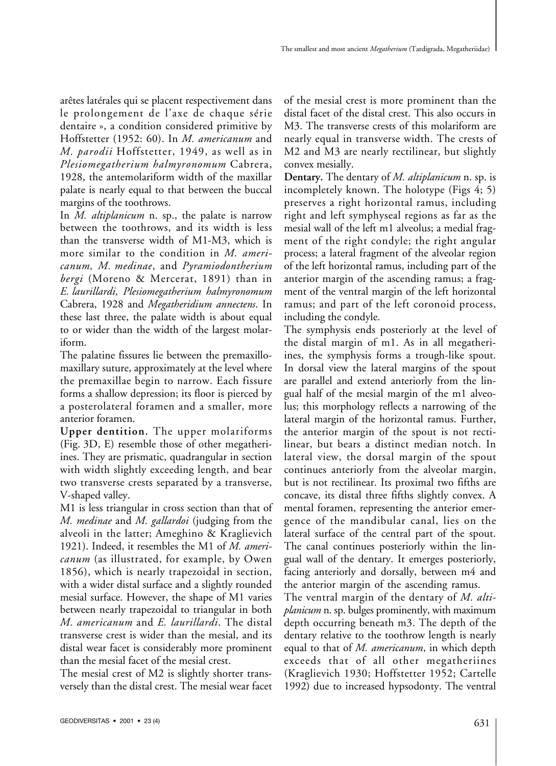arêtes latérales qui se placent respectivement dans le prolongement de l'axe de chaque série dentaire », a condition considered primitive by Hoffstetter (1952: 60). In *M. americanum* and *M. parodii* Hoffstetter, 1949, as well as in *Plesiomegatherium halmyronomum* Cabrera, 1928, the antemolariform width of the maxillar palate is nearly equal to that between the buccal margins of the toothrows.

In *M. altiplanicum* n. sp., the palate is narrow between the toothrows, and its width is less than the transverse width of M1-M3, which is more similar to the condition in *M. americanum, M. medinae*, and *Pyramiodontherium bergi* (Moreno & Mercerat, 1891) than in *E. laurillardi, Plesiomegatherium halmyronomum* Cabrera, 1928 and *Megatheridium annectens*. In these last three, the palate width is about equal to or wider than the width of the largest molariform.

The palatine fissures lie between the premaxillomaxillary suture, approximately at the level where the premaxillae begin to narrow. Each fissure forms a shallow depression; its floor is pierced by a posterolateral foramen and a smaller, more anterior foramen.

**Upper dentition.** The upper molariforms (Fig. 3D, E) resemble those of other megatheriines. They are prismatic, quadrangular in section with width slightly exceeding length, and bear two transverse crests separated by a transverse, V-shaped valley.

M1 is less triangular in cross section than that of *M. medinae* and *M. gallardoi* (judging from the alveoli in the latter; Ameghino & Kraglievich 1921). Indeed, it resembles the M1 of *M. americanum* (as illustrated, for example, by Owen 1856), which is nearly trapezoidal in section, with a wider distal surface and a slightly rounded mesial surface. However, the shape of M1 varies between nearly trapezoidal to triangular in both *M. americanum* and *E. laurillardi*. The distal transverse crest is wider than the mesial, and its distal wear facet is considerably more prominent than the mesial facet of the mesial crest.

The mesial crest of M2 is slightly shorter transversely than the distal crest. The mesial wear facet of the mesial crest is more prominent than the distal facet of the distal crest. This also occurs in M3. The transverse crests of this molariform are nearly equal in transverse width. The crests of M2 and M3 are nearly rectilinear, but slightly convex mesially.

**Dentary.** The dentary of *M. altiplanicum* n. sp. is incompletely known. The holotype (Figs 4; 5) preserves a right horizontal ramus, including right and left symphyseal regions as far as the mesial wall of the left m1 alveolus; a medial fragment of the right condyle; the right angular process; a lateral fragment of the alveolar region of the left horizontal ramus, including part of the anterior margin of the ascending ramus; a fragment of the ventral margin of the left horizontal ramus; and part of the left coronoid process, including the condyle.

The symphysis ends posteriorly at the level of the distal margin of m1. As in all megatheriines, the symphysis forms a trough-like spout. In dorsal view the lateral margins of the spout are parallel and extend anteriorly from the lingual half of the mesial margin of the m1 alveolus; this morphology reflects a narrowing of the lateral margin of the horizontal ramus. Further, the anterior margin of the spout is not rectilinear, but bears a distinct median notch. In lateral view, the dorsal margin of the spout continues anteriorly from the alveolar margin, but is not rectilinear. Its proximal two fifths are concave, its distal three fifths slightly convex. A mental foramen, representing the anterior emergence of the mandibular canal, lies on the lateral surface of the central part of the spout. The canal continues posteriorly within the lingual wall of the dentary. It emerges posteriorly, facing anteriorly and dorsally, between m4 and the anterior margin of the ascending ramus.

The ventral margin of the dentary of *M. altiplanicum* n. sp. bulges prominently, with maximum depth occurring beneath m3. The depth of the dentary relative to the toothrow length is nearly equal to that of *M. americanum*, in which depth exceeds that of all other megatheriines (Kraglievich 1930; Hoffstetter 1952; Cartelle 1992) due to increased hypsodonty. The ventral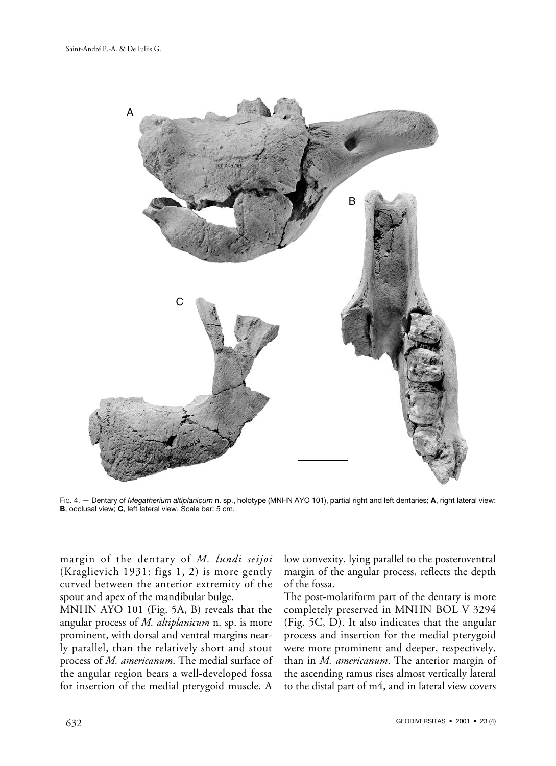

FIG. 4. — Dentary of *Megatherium altiplanicum* n. sp., holotype (MNHN AYO 101), partial right and left dentaries; **A**, right lateral view; **B**, occlusal view; **C**, left lateral view. Scale bar: 5 cm.

margin of the dentary of *M. lundi seijoi* (Kraglievich 1931: figs 1, 2) is more gently curved between the anterior extremity of the spout and apex of the mandibular bulge.

MNHN AYO 101 (Fig. 5A, B) reveals that the angular process of *M. altiplanicum* n. sp. is more prominent, with dorsal and ventral margins nearly parallel, than the relatively short and stout process of *M. americanum*. The medial surface of the angular region bears a well-developed fossa for insertion of the medial pterygoid muscle. A

low convexity, lying parallel to the posteroventral margin of the angular process, reflects the depth of the fossa.

The post-molariform part of the dentary is more completely preserved in MNHN BOL V 3294 (Fig. 5C, D). It also indicates that the angular process and insertion for the medial pterygoid were more prominent and deeper, respectively, than in *M. americanum*. The anterior margin of the ascending ramus rises almost vertically lateral to the distal part of m4, and in lateral view covers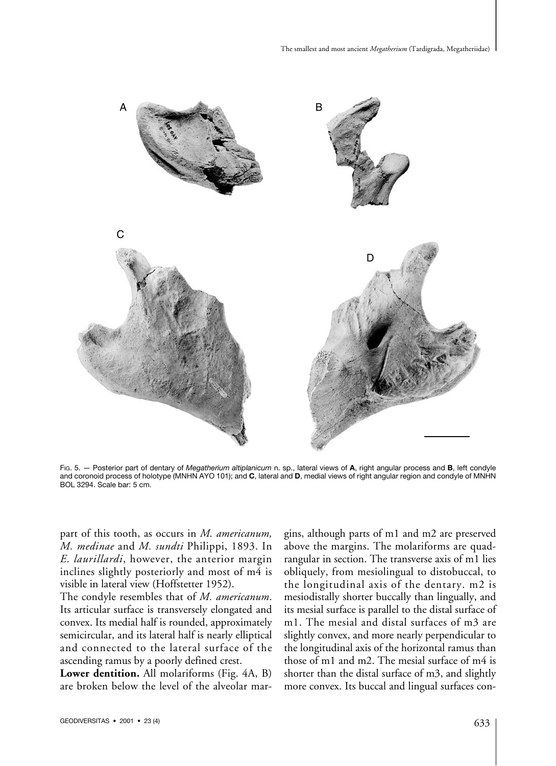

FIG. 5. — Posterior part of dentary of *Megatherium altiplanicum* n. sp., lateral views of **A**, right angular process and **B**, left condyle and coronoid process of holotype (MNHN AYO 101); and **C**, lateral and **D**, medial views of right angular region and condyle of MNHN BOL 3294. Scale bar: 5 cm.

part of this tooth, as occurs in *M. americanum, M. medinae* and *M. sundti* Philippi, 1893. In *E. laurillardi*, however, the anterior margin inclines slightly posteriorly and most of m4 is visible in lateral view (Hoffstetter 1952).

The condyle resembles that of *M. americanum*. Its articular surface is transversely elongated and convex. Its medial half is rounded, approximately semicircular, and its lateral half is nearly elliptical and connected to the lateral surface of the ascending ramus by a poorly defined crest.

**Lower dentition.** All molariforms (Fig. 4A, B) are broken below the level of the alveolar margins, although parts of m1 and m2 are preserved above the margins. The molariforms are quadrangular in section. The transverse axis of m1 lies obliquely, from mesiolingual to distobuccal, to the longitudinal axis of the dentary. m2 is mesiodistally shorter buccally than lingually, and its mesial surface is parallel to the distal surface of m1. The mesial and distal surfaces of m3 are slightly convex, and more nearly perpendicular to the longitudinal axis of the horizontal ramus than those of m1 and m2. The mesial surface of m4 is shorter than the distal surface of m3, and slightly more convex. Its buccal and lingual surfaces con-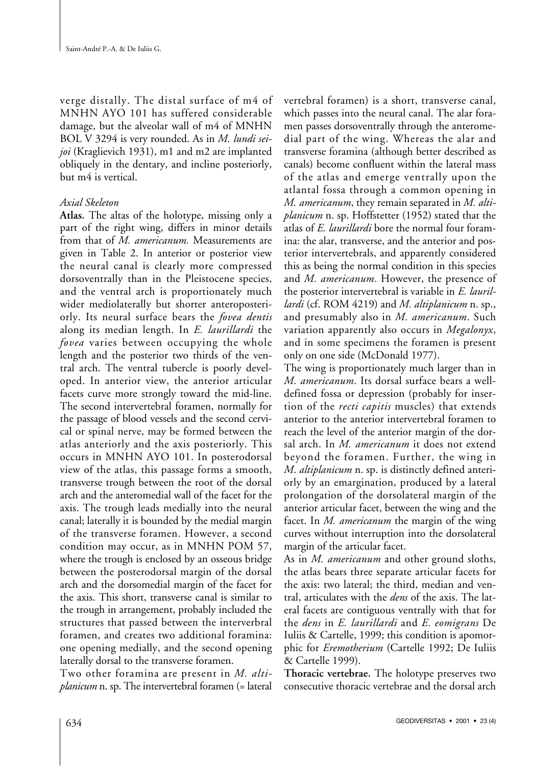verge distally. The distal surface of m4 of MNHN AYO 101 has suffered considerable damage, but the alveolar wall of m4 of MNHN BOL V 3294 is very rounded. As in *M. lundi seijoi* (Kraglievich 1931), m1 and m2 are implanted obliquely in the dentary, and incline posteriorly, but m4 is vertical.

## *Axial Skeleton*

**Atlas.** The altas of the holotype, missing only a part of the right wing, differs in minor details from that of *M. americanum.* Measurements are given in Table 2. In anterior or posterior view the neural canal is clearly more compressed dorsoventrally than in the Pleistocene species, and the ventral arch is proportionately much wider mediolaterally but shorter anteroposteriorly. Its neural surface bears the *fovea dentis* along its median length. In *E. laurillardi* the *fovea* varies between occupying the whole length and the posterior two thirds of the ventral arch. The ventral tubercle is poorly developed. In anterior view, the anterior articular facets curve more strongly toward the mid-line. The second intervertebral foramen, normally for the passage of blood vessels and the second cervical or spinal nerve, may be formed between the atlas anteriorly and the axis posteriorly. This occurs in MNHN AYO 101. In posterodorsal view of the atlas, this passage forms a smooth, transverse trough between the root of the dorsal arch and the anteromedial wall of the facet for the axis. The trough leads medially into the neural canal; laterally it is bounded by the medial margin of the transverse foramen. However, a second condition may occur, as in MNHN POM 57, where the trough is enclosed by an osseous bridge between the posterodorsal margin of the dorsal arch and the dorsomedial margin of the facet for the axis. This short, transverse canal is similar to the trough in arrangement, probably included the structures that passed between the interverbral foramen, and creates two additional foramina: one opening medially, and the second opening laterally dorsal to the transverse foramen.

Two other foramina are present in *M. altiplanicum* n. sp. The intervertebral foramen (= lateral

vertebral foramen) is a short, transverse canal, which passes into the neural canal. The alar foramen passes dorsoventrally through the anteromedial part of the wing. Whereas the alar and transverse foramina (although better described as canals) become confluent within the lateral mass of the atlas and emerge ventrally upon the atlantal fossa through a common opening in *M. americanum*, they remain separated in *M. altiplanicum* n. sp. Hoffstetter (1952) stated that the atlas of *E. laurillardi* bore the normal four foramina: the alar, transverse, and the anterior and posterior intervertebrals, and apparently considered this as being the normal condition in this species and *M. americanum*. However, the presence of the posterior intervertebral is variable in *E. laurillardi* (cf. ROM 4219) and *M. altiplanicum* n. sp., and presumably also in *M. americanum*. Such variation apparently also occurs in *Megalonyx*, and in some specimens the foramen is present only on one side (McDonald 1977).

The wing is proportionately much larger than in *M. americanum*. Its dorsal surface bears a welldefined fossa or depression (probably for insertion of the *recti capitis* muscles) that extends anterior to the anterior intervertebral foramen to reach the level of the anterior margin of the dorsal arch. In *M. americanum* it does not extend beyond the foramen. Further, the wing in *M*. *altiplanicum* n. sp. is distinctly defined anteriorly by an emargination, produced by a lateral prolongation of the dorsolateral margin of the anterior articular facet, between the wing and the facet. In *M. americanum* the margin of the wing curves without interruption into the dorsolateral margin of the articular facet.

As in *M. americanum* and other ground sloths, the atlas bears three separate articular facets for the axis: two lateral; the third, median and ventral, articulates with the *dens* of the axis. The lateral facets are contiguous ventrally with that for the *dens* in *E. laurillardi* and *E. eomigrans* De Iuliis & Cartelle, 1999; this condition is apomorphic for *Eremotherium* (Cartelle 1992; De Iuliis & Cartelle 1999).

**Thoracic vertebrae.** The holotype preserves two consecutive thoracic vertebrae and the dorsal arch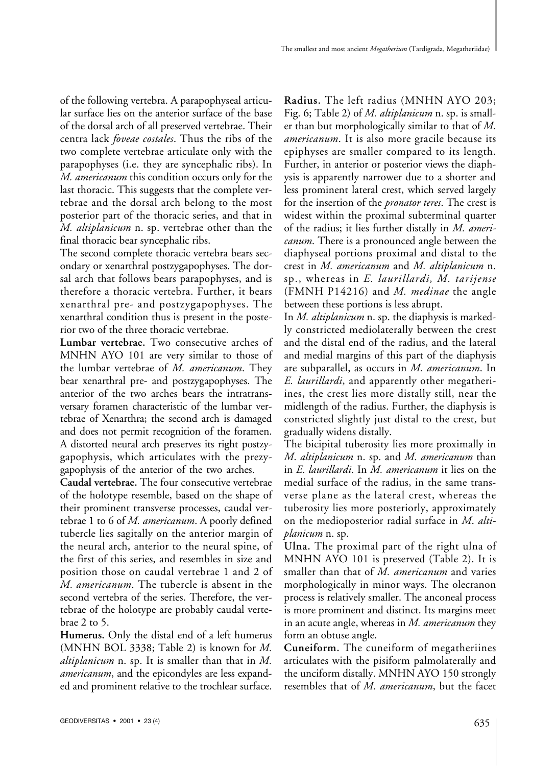of the following vertebra. A parapophyseal articular surface lies on the anterior surface of the base of the dorsal arch of all preserved vertebrae. Their centra lack *foveae costales*. Thus the ribs of the two complete vertebrae articulate only with the parapophyses (i.e. they are syncephalic ribs). In *M. americanum* this condition occurs only for the last thoracic. This suggests that the complete vertebrae and the dorsal arch belong to the most posterior part of the thoracic series, and that in *M. altiplanicum* n. sp. vertebrae other than the final thoracic bear syncephalic ribs.

The second complete thoracic vertebra bears secondary or xenarthral postzygapophyses. The dorsal arch that follows bears parapophyses, and is therefore a thoracic vertebra. Further, it bears xenarthral pre- and postzygapophyses. The xenarthral condition thus is present in the posterior two of the three thoracic vertebrae.

**Lumbar vertebrae.** Two consecutive arches of MNHN AYO 101 are very similar to those of the lumbar vertebrae of *M. americanum*. They bear xenarthral pre- and postzygapophyses. The anterior of the two arches bears the intratransversary foramen characteristic of the lumbar vertebrae of Xenarthra; the second arch is damaged and does not permit recognition of the foramen. A distorted neural arch preserves its right postzygapophysis, which articulates with the prezygapophysis of the anterior of the two arches.

**Caudal vertebrae.** The four consecutive vertebrae of the holotype resemble, based on the shape of their prominent transverse processes, caudal vertebrae 1 to 6 of *M. americanum*. A poorly defined tubercle lies sagitally on the anterior margin of the neural arch, anterior to the neural spine, of the first of this series, and resembles in size and position those on caudal vertebrae 1 and 2 of *M. americanum*. The tubercle is absent in the second vertebra of the series. Therefore, the vertebrae of the holotype are probably caudal vertebrae 2 to 5.

**Humerus.** Only the distal end of a left humerus (MNHN BOL 3338; Table 2) is known for *M. altiplanicum* n. sp. It is smaller than that in *M. americanum*, and the epicondyles are less expanded and prominent relative to the trochlear surface.

**Radius.** The left radius (MNHN AYO 203; Fig. 6; Table 2) of *M. altiplanicum* n. sp. is smaller than but morphologically similar to that of *M. americanum*. It is also more gracile because its epiphyses are smaller compared to its length. Further, in anterior or posterior views the diaphysis is apparently narrower due to a shorter and less prominent lateral crest, which served largely for the insertion of the *pronator teres*. The crest is widest within the proximal subterminal quarter of the radius; it lies further distally in *M. americanum*. There is a pronounced angle between the diaphyseal portions proximal and distal to the crest in *M. americanum* and *M. altiplanicum* n. sp., whereas in *E. laurillardi, M. tarijense* (FMNH P14216) and *M. medinae* the angle between these portions is less abrupt.

In *M. altiplanicum* n. sp. the diaphysis is markedly constricted mediolaterally between the crest and the distal end of the radius, and the lateral and medial margins of this part of the diaphysis are subparallel, as occurs in *M. americanum*. In *E. laurillardi*, and apparently other megatheriines, the crest lies more distally still, near the midlength of the radius. Further, the diaphysis is constricted slightly just distal to the crest, but gradually widens distally.

The bicipital tuberosity lies more proximally in *M*. *altiplanicum* n. sp. and *M. americanum* than in *E*. *laurillardi*. In *M. americanum* it lies on the medial surface of the radius, in the same transverse plane as the lateral crest, whereas the tuberosity lies more posteriorly, approximately on the medioposterior radial surface in *M*. *altiplanicum* n. sp.

**Ulna.** The proximal part of the right ulna of MNHN AYO 101 is preserved (Table 2). It is smaller than that of *M. americanum* and varies morphologically in minor ways. The olecranon process is relatively smaller. The anconeal process is more prominent and distinct. Its margins meet in an acute angle, whereas in *M. americanum* they form an obtuse angle.

**Cuneiform.** The cuneiform of megatheriines articulates with the pisiform palmolaterally and the unciform distally. MNHN AYO 150 strongly resembles that of *M. americanum*, but the facet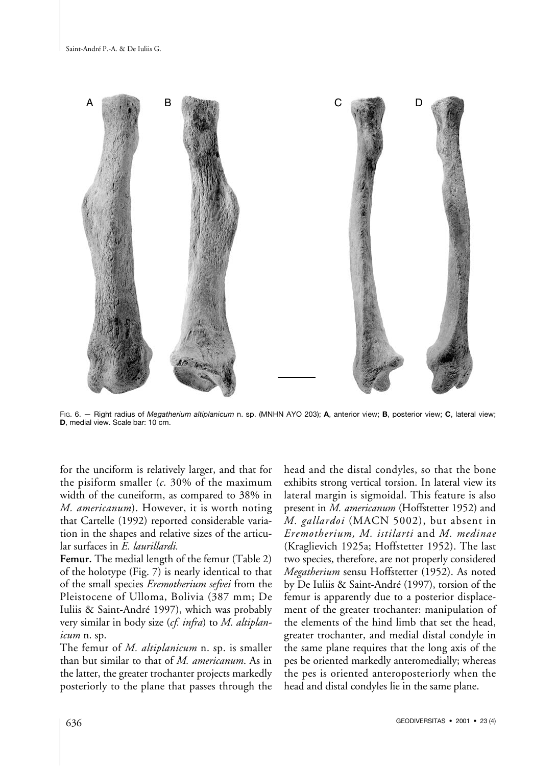

FIG. 6. — Right radius of *Megatherium altiplanicum* n. sp. (MNHN AYO 203); **A**, anterior view; **B**, posterior view; **C**, lateral view; **D**, medial view. Scale bar: 10 cm.

for the unciform is relatively larger, and that for the pisiform smaller (*c.* 30% of the maximum width of the cuneiform, as compared to 38% in *M. americanum*). However, it is worth noting that Cartelle (1992) reported considerable variation in the shapes and relative sizes of the articular surfaces in *E. laurillardi.*

**Femur.** The medial length of the femur (Table 2) of the holotype (Fig. 7) is nearly identical to that of the small species *Eremotherium sefvei* from the Pleistocene of Ulloma, Bolivia (387 mm; De Iuliis & Saint-André 1997), which was probably very similar in body size (*cf. infra*) to *M. altiplanicum* n. sp.

The femur of *M. altiplanicum* n. sp. is smaller than but similar to that of *M. americanum*. As in the latter, the greater trochanter projects markedly posteriorly to the plane that passes through the head and the distal condyles, so that the bone exhibits strong vertical torsion. In lateral view its lateral margin is sigmoidal. This feature is also present in *M. americanum* (Hoffstetter 1952) and *M. gallardoi* (MACN 5002), but absent in *Eremotherium, M. istilarti* and *M. medinae* (Kraglievich 1925a; Hoffstetter 1952). The last two species, therefore, are not properly considered *Megatherium* sensu Hoffstetter (1952). As noted by De Iuliis & Saint-André (1997), torsion of the femur is apparently due to a posterior displacement of the greater trochanter: manipulation of the elements of the hind limb that set the head, greater trochanter, and medial distal condyle in the same plane requires that the long axis of the pes be oriented markedly anteromedially; whereas the pes is oriented anteroposteriorly when the head and distal condyles lie in the same plane.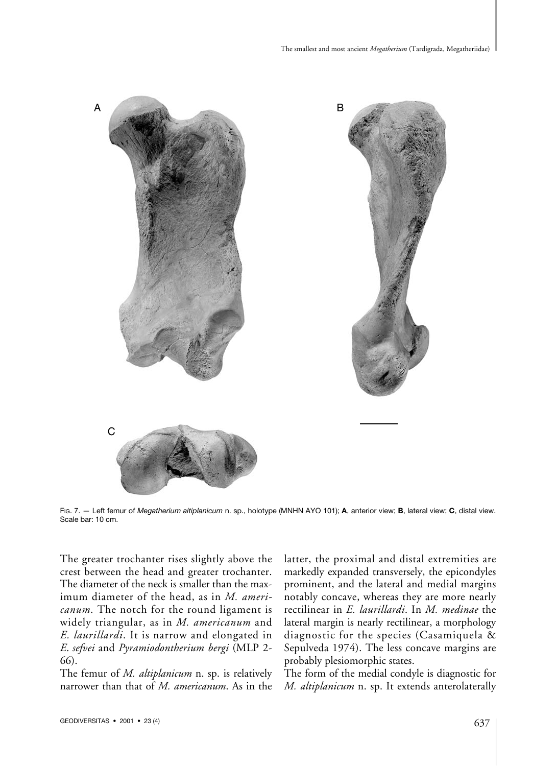

FIG. 7. — Left femur of *Megatherium altiplanicum* n. sp., holotype (MNHN AYO 101); **A**, anterior view; **B**, lateral view; **C**, distal view. Scale bar: 10 cm.

The greater trochanter rises slightly above the crest between the head and greater trochanter. The diameter of the neck is smaller than the maximum diameter of the head, as in *M. americanum*. The notch for the round ligament is widely triangular, as in *M. americanum* and *E. laurillardi*. It is narrow and elongated in *E*. *sefvei* and *Pyramiodontherium bergi* (MLP 2- 66).

The femur of *M. altiplanicum* n. sp. is relatively narrower than that of *M. americanum*. As in the latter, the proximal and distal extremities are markedly expanded transversely, the epicondyles prominent, and the lateral and medial margins notably concave, whereas they are more nearly rectilinear in *E. laurillardi*. In *M. medinae* the lateral margin is nearly rectilinear, a morphology diagnostic for the species (Casamiquela & Sepulveda 1974). The less concave margins are probably plesiomorphic states.

The form of the medial condyle is diagnostic for *M. altiplanicum* n. sp. It extends anterolaterally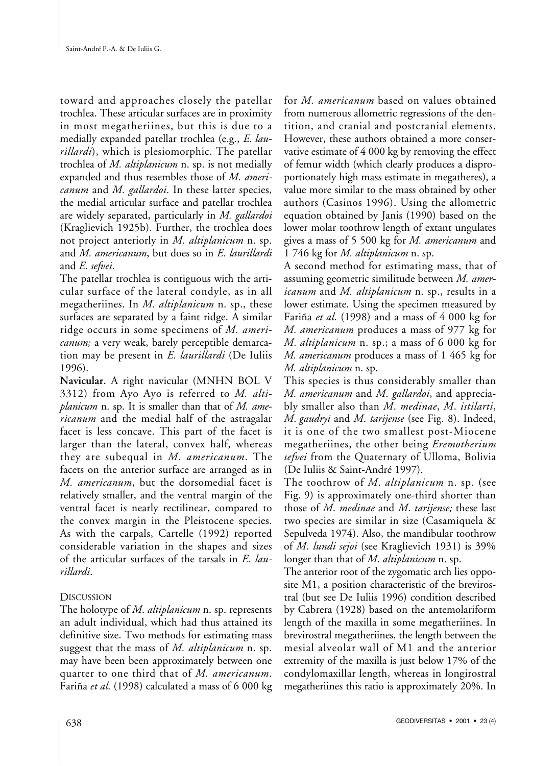toward and approaches closely the patellar trochlea. These articular surfaces are in proximity in most megatheriines, but this is due to a medially expanded patellar trochlea (e.g., *E. laurillardi*), which is plesiomorphic. The patellar trochlea of *M. altiplanicum* n. sp. is not medially expanded and thus resembles those of *M. americanum* and *M. gallardoi*. In these latter species, the medial articular surface and patellar trochlea are widely separated, particularly in *M. gallardoi* (Kraglievich 1925b). Further, the trochlea does not project anteriorly in *M. altiplanicum* n. sp. and *M. americanum*, but does so in *E. laurillardi* and *E*. *sefvei*.

The patellar trochlea is contiguous with the articular surface of the lateral condyle, as in all megatheriines. In *M. altiplanicum* n. sp., these surfaces are separated by a faint ridge. A similar ridge occurs in some specimens of *M. americanum;* a very weak, barely perceptible demarcation may be present in *E. laurillardi* (De Iuliis 1996).

**Navicular.** A right navicular (MNHN BOL V 3312) from Ayo Ayo is referred to *M. altiplanicum* n. sp. It is smaller than that of *M. americanum* and the medial half of the astragalar facet is less concave. This part of the facet is larger than the lateral, convex half, whereas they are subequal in *M. americanum*. The facets on the anterior surface are arranged as in *M. americanum*, but the dorsomedial facet is relatively smaller, and the ventral margin of the ventral facet is nearly rectilinear, compared to the convex margin in the Pleistocene species. As with the carpals, Cartelle (1992) reported considerable variation in the shapes and sizes of the articular surfaces of the tarsals in *E. laurillardi*.

## **DISCUSSION**

The holotype of *M*. *altiplanicum* n. sp. represents an adult individual, which had thus attained its definitive size. Two methods for estimating mass suggest that the mass of *M. altiplanicum* n. sp. may have been been approximately between one quarter to one third that of *M. americanum*. Fariña *et al*. (1998) calculated a mass of 6 000 kg for *M. americanum* based on values obtained from numerous allometric regressions of the dentition, and cranial and postcranial elements. However, these authors obtained a more conservative estimate of 4 000 kg by removing the effect of femur width (which clearly produces a disproportionately high mass estimate in megatheres), a value more similar to the mass obtained by other authors (Casinos 1996). Using the allometric equation obtained by Janis (1990) based on the lower molar toothrow length of extant ungulates gives a mass of 5 500 kg for *M. americanum* and 1 746 kg for *M. altiplanicum* n. sp.

A second method for estimating mass, that of assuming geometric similitude between *M. americanum* and *M. altiplanicum* n. sp., results in a lower estimate. Using the specimen measured by Fariña *et al*. (1998) and a mass of 4 000 kg for *M. americanum* produces a mass of 977 kg for *M. altiplanicum* n. sp.; a mass of 6 000 kg for *M. americanum* produces a mass of 1 465 kg for *M. altiplanicum* n. sp.

This species is thus considerably smaller than *M. americanum* and *M*. *gallardoi*, and appreciably smaller also than *M*. *medinae*, *M*. *istilarti*, *M*. *gaudryi* and *M*. *tarijense* (see Fig. 8). Indeed, it is one of the two smallest post-Miocene megatheriines, the other being *Eremotherium sefvei* from the Quaternary of Ulloma, Bolivia (De Iuliis & Saint-André 1997).

The toothrow of *M*. *altiplanicum* n. sp. (see Fig. 9) is approximately one-third shorter than those of *M*. *medinae* and *M*. *tarijense;* these last two species are similar in size (Casamiquela & Sepulveda 1974). Also, the mandibular toothrow of *M*. *lundi sejoi* (see Kraglievich 1931) is 39% longer than that of *M*. *altiplanicum* n. sp.

The anterior root of the zygomatic arch lies opposite M1, a position characteristic of the brevirostral (but see De Iuliis 1996) condition described by Cabrera (1928) based on the antemolariform length of the maxilla in some megatheriines. In brevirostral megatheriines, the length between the mesial alveolar wall of M1 and the anterior extremity of the maxilla is just below 17% of the condylomaxillar length, whereas in longirostral megatheriines this ratio is approximately 20%. In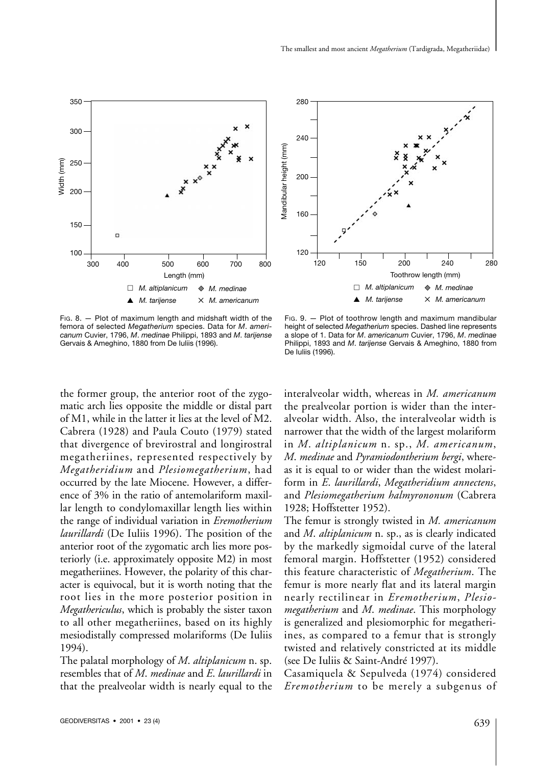interalveolar width, whereas in *M. americanum* the prealveolar portion is wider than the interalveolar width. Also, the interalveolar width is narrower that the width of the largest molariform in *M*. *altiplanicum* n. sp., *M. americanum*, *M*. *medinae* and *Pyramiodontherium bergi*, whereas it is equal to or wider than the widest molariform in *E*. *laurillardi*, *Megatheridium annectens*,

FIG. 9. — Plot of toothrow length and maximum mandibular height of selected *Megatherium* species. Dashed line represents a slope of 1. Data for *M*. *americanum* Cuvier, 1796, *M*. *medinae* Philippi, 1893 and *M*. *tarijense* Gervais & Ameghino, 1880 from

and *Plesiomegatherium halmyrononum* (Cabrera

1928; Hoffstetter 1952).

De Iuliis (1996).

The femur is strongly twisted in *M. americanum* and *M*. *altiplanicum* n. sp., as is clearly indicated by the markedly sigmoidal curve of the lateral femoral margin. Hoffstetter (1952) considered this feature characteristic of *Megatherium*. The femur is more nearly flat and its lateral margin nearly rectilinear in *Eremotherium*, *Plesiomegatherium* and *M*. *medinae*. This morphology is generalized and plesiomorphic for megatheriines, as compared to a femur that is strongly twisted and relatively constricted at its middle (see De Iuliis & Saint-André 1997).

Casamiquela & Sepulveda (1974) considered *Eremotherium* to be merely a subgenus of

1994).



occurred by the late Miocene. However, a difference of 3% in the ratio of antemolariform maxillar length to condylomaxillar length lies within the range of individual variation in *Eremotherium laurillardi* (De Iuliis 1996). The position of the anterior root of the zygomatic arch lies more posteriorly (i.e. approximately opposite M2) in most megatheriines. However, the polarity of this character is equivocal, but it is worth noting that the root lies in the more posterior position in *Megathericulus*, which is probably the sister taxon to all other megatheriines, based on its highly mesiodistally compressed molariforms (De Iuliis

The palatal morphology of *M*. *altiplanicum* n. sp. resembles that of *M*. *medinae* and *E*. *laurillardi* in that the prealveolar width is nearly equal to the



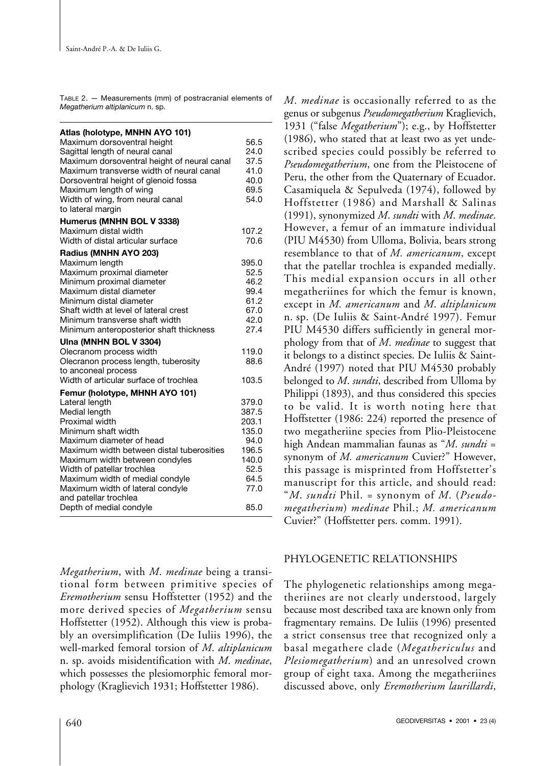TABLE 2. — Measurements (mm) of postracranial elements of *Megatherium altiplanicum* n. sp.

| Atlas (holotype, MNHN AYO 101)<br>Maximum dorsoventral height<br>Sagittal length of neural canal<br>Maximum dorsoventral height of neural canal<br>Maximum transverse width of neural canal<br>Dorsoventral height of glenoid fossa<br>Maximum length of wing<br>Width of wing, from neural canal<br>to lateral margin                                                         | 56.5<br>24.0<br>37.5<br>41.0<br>40.0<br>69.5<br>54.0                                       |
|--------------------------------------------------------------------------------------------------------------------------------------------------------------------------------------------------------------------------------------------------------------------------------------------------------------------------------------------------------------------------------|--------------------------------------------------------------------------------------------|
| Humerus (MNHN BOL V 3338)<br>Maximum distal width<br>Width of distal articular surface                                                                                                                                                                                                                                                                                         | 107.2<br>70.6                                                                              |
| Radius (MNHN AYO 203)<br>Maximum length<br>Maximum proximal diameter<br>Minimum proximal diameter<br>Maximum distal diameter<br>Minimum distal diameter<br>Shaft width at level of lateral crest<br>Minimum transverse shaft width<br>Minimum anteroposterior shaft thickness<br>Ulna (MNHN BOL V 3304)<br>Olecranom process width<br>Olecranon process length, tuberosity     | 395.0<br>52.5<br>46.2<br>99.4<br>61.2<br>67.0<br>42.0<br>27.4<br>119.0<br>88.6             |
| to anconeal process<br>Width of articular surface of trochlea                                                                                                                                                                                                                                                                                                                  | 103.5                                                                                      |
| Femur (holotype, MHNH AYO 101)<br>Lateral length<br>Medial length<br>Proximal width<br>Minimum shaft width<br>Maximum diameter of head<br>Maximum width between distal tuberosities<br>Maximum width between condyles<br>Width of patellar trochlea<br>Maximum width of medial condyle<br>Maximum width of lateral condyle<br>and patellar trochlea<br>Depth of medial condyle | 379.0<br>387.5<br>203.1<br>135.0<br>94.0<br>196.5<br>140.0<br>52.5<br>64.5<br>77.0<br>85.0 |

*Megatherium*, with *M*. *medinae* being a transitional form between primitive species of *Eremotherium* sensu Hoffstetter (1952) and the more derived species of *Megatherium* sensu Hoffstetter (1952). Although this view is probably an oversimplification (De Iuliis 1996), the well-marked femoral torsion of *M*. *altiplanicum* n. sp. avoids misidentification with *M*. *medinae*, which possesses the plesiomorphic femoral morphology (Kraglievich 1931; Hoffstetter 1986).

*M*. *medinae* is occasionally referred to as the genus or subgenus *Pseudomegatherium* Kraglievich, 1931 ("false *Megatherium*"); e.g., by Hoffstetter (1986), who stated that at least two as yet undescribed species could possibly be referred to *Pseudomegatherium*, one from the Pleistocene of Peru, the other from the Quaternary of Ecuador. Casamiquela & Sepulveda (1974), followed by Hoffstetter (1986) and Marshall & Salinas (1991), synonymized *M*. *sundti* with *M*. *medinae*. However, a femur of an immature individual (PIU M4530) from Ulloma, Bolivia, bears strong resemblance to that of *M. americanum*, except that the patellar trochlea is expanded medially. This medial expansion occurs in all other megatheriines for which the femur is known, except in *M. americanum* and *M*. *altiplanicum* n. sp. (De Iuliis & Saint-André 1997). Femur PIU M4530 differs sufficiently in general morphology from that of *M*. *medinae* to suggest that it belongs to a distinct species. De Iuliis & Saint-André (1997) noted that PIU M4530 probably belonged to *M*. *sundti*, described from Ulloma by Philippi (1893), and thus considered this species to be valid. It is worth noting here that Hoffstetter (1986: 224) reported the presence of two megatheriine species from Plio-Pleistocene high Andean mammalian faunas as "*M*. *sundti* = synonym of *M. americanum* Cuvier?" However, this passage is misprinted from Hoffstetter's manuscript for this article, and should read: "*M*. *sundti* Phil. = synonym of *M*. (*Pseudomegatherium*) *medinae* Phil.; *M. americanum* Cuvier?" (Hoffstetter pers. comm. 1991).

## PHYLOGENETIC RELATIONSHIPS

The phylogenetic relationships among megatheriines are not clearly understood, largely because most described taxa are known only from fragmentary remains. De Iuliis (1996) presented a strict consensus tree that recognized only a basal megathere clade (*Megathericulus* and *Plesiomegatherium*) and an unresolved crown group of eight taxa. Among the megatheriines discussed above, only *Eremotherium laurillardi*,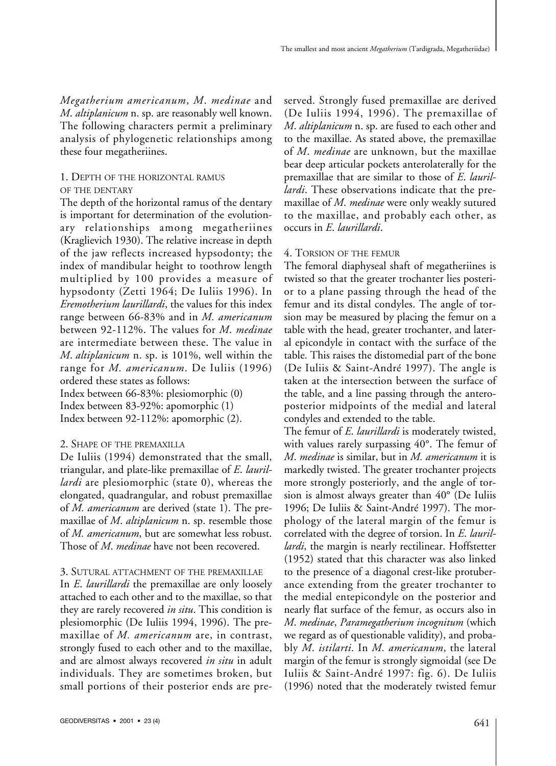*Megatherium americanum*, *M*. *medinae* and *M*. *altiplanicum* n. sp. are reasonably well known. The following characters permit a preliminary analysis of phylogenetic relationships among these four megatheriines.

## 1. DEPTH OF THE HORIZONTAL RAMUS OF THE DENTARY

The depth of the horizontal ramus of the dentary is important for determination of the evolutionary relationships among megatheriines (Kraglievich 1930). The relative increase in depth of the jaw reflects increased hypsodonty; the index of mandibular height to toothrow length multiplied by 100 provides a measure of hypsodonty (Zetti 1964; De Iuliis 1996). In *Eremotherium laurillardi*, the values for this index range between 66-83% and in *M. americanum* between 92-112%. The values for *M*. *medinae* are intermediate between these. The value in *M*. *altiplanicum* n. sp. is 101%, well within the range for *M. americanum*. De Iuliis (1996) ordered these states as follows:

Index between 66-83%: plesiomorphic (0) Index between 83-92%: apomorphic (1) Index between 92-112%: apomorphic (2).

## 2. SHAPE OF THE PREMAXILLA

De Iuliis (1994) demonstrated that the small, triangular, and plate-like premaxillae of *E*. *laurillardi* are plesiomorphic (state 0), whereas the elongated, quadrangular, and robust premaxillae of *M. americanum* are derived (state 1). The premaxillae of *M*. *altiplanicum* n. sp. resemble those of *M. americanum*, but are somewhat less robust. Those of *M*. *medinae* have not been recovered.

## 3. SUTURAL ATTACHMENT OF THE PREMAXILLAE

In *E*. *laurillardi* the premaxillae are only loosely attached to each other and to the maxillae, so that they are rarely recovered *in situ*. This condition is plesiomorphic (De Iuliis 1994, 1996). The premaxillae of *M. americanum* are, in contrast, strongly fused to each other and to the maxillae, and are almost always recovered *in situ* in adult individuals. They are sometimes broken, but small portions of their posterior ends are preserved. Strongly fused premaxillae are derived (De Iuliis 1994, 1996). The premaxillae of *M*. *altiplanicum* n. sp. are fused to each other and to the maxillae. As stated above, the premaxillae of *M*. *medinae* are unknown, but the maxillae bear deep articular pockets anterolaterally for the premaxillae that are similar to those of *E*. *laurillardi*. These observations indicate that the premaxillae of *M*. *medinae* were only weakly sutured to the maxillae, and probably each other, as occurs in *E*. *laurillardi*.

## 4. TORSION OF THE FEMUR

The femoral diaphyseal shaft of megatheriines is twisted so that the greater trochanter lies posterior to a plane passing through the head of the femur and its distal condyles. The angle of torsion may be measured by placing the femur on a table with the head, greater trochanter, and lateral epicondyle in contact with the surface of the table. This raises the distomedial part of the bone (De Iuliis & Saint-André 1997). The angle is taken at the intersection between the surface of the table, and a line passing through the anteroposterior midpoints of the medial and lateral condyles and extended to the table.

The femur of *E*. *laurillardi* is moderately twisted, with values rarely surpassing 40°. The femur of *M*. *medinae* is similar, but in *M. americanum* it is markedly twisted. The greater trochanter projects more strongly posteriorly, and the angle of torsion is almost always greater than 40° (De Iuliis 1996; De Iuliis & Saint-André 1997). The morphology of the lateral margin of the femur is correlated with the degree of torsion. In *E*. *laurillardi*, the margin is nearly rectilinear. Hoffstetter (1952) stated that this character was also linked to the presence of a diagonal crest-like protuberance extending from the greater trochanter to the medial entepicondyle on the posterior and nearly flat surface of the femur, as occurs also in *M*. *medinae*, *Paramegatherium incognitum* (which we regard as of questionable validity), and probably *M*. *istilarti*. In *M. americanum*, the lateral margin of the femur is strongly sigmoidal (see De Iuliis & Saint-André 1997: fig. 6). De Iuliis (1996) noted that the moderately twisted femur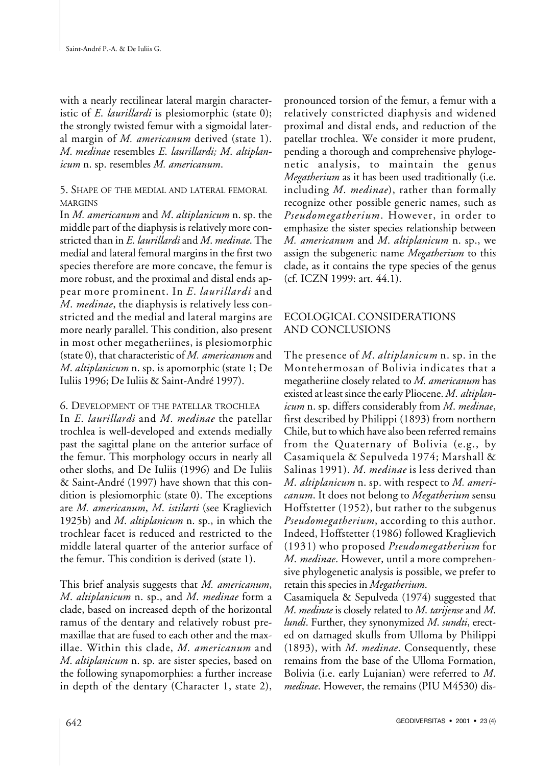with a nearly rectilinear lateral margin characteristic of *E*. *laurillardi* is plesiomorphic (state 0); the strongly twisted femur with a sigmoidal lateral margin of *M. americanum* derived (state 1). *M*. *medinae* resembles *E*. *laurillardi; M*. *altiplanicum* n. sp. resembles *M. americanum*.

# 5. SHAPE OF THE MEDIAL AND LATERAL FEMORAL MARGINS

In *M. americanum* and *M*. *altiplanicum* n. sp. the middle part of the diaphysis is relatively more constricted than in *E*. *laurillardi* and *M*. *medinae*. The medial and lateral femoral margins in the first two species therefore are more concave, the femur is more robust, and the proximal and distal ends appear more prominent. In *E*. *laurillardi* and *M*. *medinae*, the diaphysis is relatively less constricted and the medial and lateral margins are more nearly parallel. This condition, also present in most other megatheriines, is plesiomorphic (state 0), that characteristic of *M. americanum* and *M*. *altiplanicum* n. sp. is apomorphic (state 1; De Iuliis 1996; De Iuliis & Saint-André 1997).

## 6. DEVELOPMENT OF THE PATELLAR TROCHLEA

In *E*. *laurillardi* and *M*. *medinae* the patellar trochlea is well-developed and extends medially past the sagittal plane on the anterior surface of the femur. This morphology occurs in nearly all other sloths, and De Iuliis (1996) and De Iuliis & Saint-André (1997) have shown that this condition is plesiomorphic (state 0). The exceptions are *M. americanum*, *M*. *istilarti* (see Kraglievich 1925b) and *M*. *altiplanicum* n. sp., in which the trochlear facet is reduced and restricted to the middle lateral quarter of the anterior surface of the femur. This condition is derived (state 1).

This brief analysis suggests that *M. americanum*, *M*. *altiplanicum* n. sp., and *M*. *medinae* form a clade, based on increased depth of the horizontal ramus of the dentary and relatively robust premaxillae that are fused to each other and the maxillae. Within this clade, *M. americanum* and *M*. *altiplanicum* n. sp. are sister species, based on the following synapomorphies: a further increase in depth of the dentary (Character 1, state 2),

pronounced torsion of the femur, a femur with a relatively constricted diaphysis and widened proximal and distal ends, and reduction of the patellar trochlea. We consider it more prudent, pending a thorough and comprehensive phylogenetic analysis, to maintain the genus *Megatherium* as it has been used traditionally (i.e. including *M*. *medinae*), rather than formally recognize other possible generic names, such as *Pseudomegatherium*. However, in order to emphasize the sister species relationship between *M. americanum* and *M*. *altiplanicum* n. sp., we assign the subgeneric name *Megatherium* to this clade, as it contains the type species of the genus (cf. ICZN 1999: art. 44.1).

# ECOLOGICAL CONSIDERATIONS AND CONCLUSIONS

The presence of *M*. *altiplanicum* n. sp. in the Montehermosan of Bolivia indicates that a megatheriine closely related to *M. americanum* has existed at least since the early Pliocene. *M*. *altiplanicum* n. sp. differs considerably from *M*. *medinae*, first described by Philippi (1893) from northern Chile, but to which have also been referred remains from the Quaternary of Bolivia (e.g., by Casamiquela & Sepulveda 1974; Marshall & Salinas 1991). *M*. *medinae* is less derived than *M*. *altiplanicum* n. sp. with respect to *M. americanum*. It does not belong to *Megatherium* sensu Hoffstetter (1952), but rather to the subgenus *Pseudomegatherium*, according to this author. Indeed, Hoffstetter (1986) followed Kraglievich (1931) who proposed *Pseudomegatherium* for *M*. *medinae*. However, until a more comprehensive phylogenetic analysis is possible, we prefer to retain this species in *Megatherium*.

Casamiquela & Sepulveda (1974) suggested that *M*. *medinae* is closely related to *M*. *tarijense* and *M*. *lundi*. Further, they synonymized *M*. *sundti*, erected on damaged skulls from Ulloma by Philippi (1893), with *M*. *medinae*. Consequently, these remains from the base of the Ulloma Formation, Bolivia (i.e. early Lujanian) were referred to *M*. *medinae*. However, the remains (PIU M4530) dis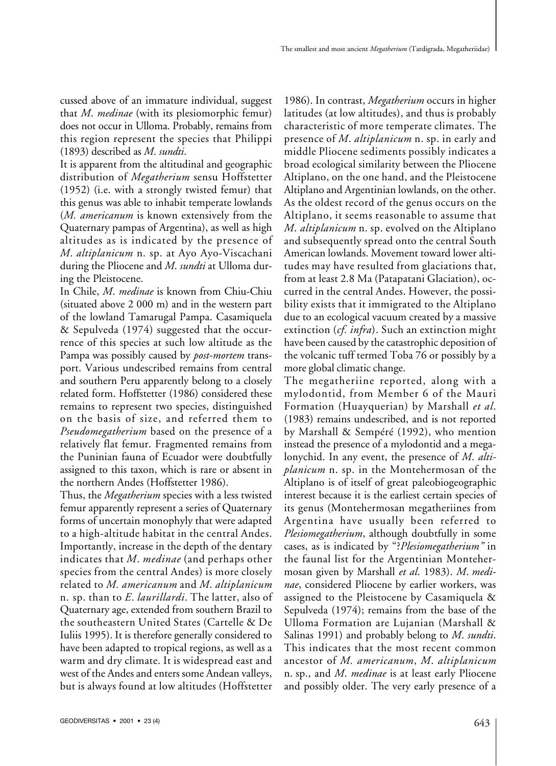cussed above of an immature individual, suggest that *M*. *medinae* (with its plesiomorphic femur) does not occur in Ulloma. Probably, remains from this region represent the species that Philippi (1893) described as *M*. *sundti*.

It is apparent from the altitudinal and geographic distribution of *Megatherium* sensu Hoffstetter (1952) (i.e. with a strongly twisted femur) that this genus was able to inhabit temperate lowlands (*M. americanum* is known extensively from the Quaternary pampas of Argentina), as well as high altitudes as is indicated by the presence of *M*. *altiplanicum* n. sp. at Ayo Ayo-Viscachani during the Pliocene and *M*. *sundti* at Ulloma during the Pleistocene.

In Chile, *M*. *medinae* is known from Chiu-Chiu (situated above 2 000 m) and in the western part of the lowland Tamarugal Pampa. Casamiquela & Sepulveda (1974) suggested that the occurrence of this species at such low altitude as the Pampa was possibly caused by *post-mortem* transport. Various undescribed remains from central and southern Peru apparently belong to a closely related form. Hoffstetter (1986) considered these remains to represent two species, distinguished on the basis of size, and referred them to *Pseudomegatherium* based on the presence of a relatively flat femur. Fragmented remains from the Puninian fauna of Ecuador were doubtfully assigned to this taxon, which is rare or absent in the northern Andes (Hoffstetter 1986).

Thus, the *Megatherium* species with a less twisted femur apparently represent a series of Quaternary forms of uncertain monophyly that were adapted to a high-altitude habitat in the central Andes. Importantly, increase in the depth of the dentary indicates that *M*. *medinae* (and perhaps other species from the central Andes) is more closely related to *M. americanum* and *M*. *altiplanicum* n. sp. than to *E*. *laurillardi*. The latter, also of Quaternary age, extended from southern Brazil to the southeastern United States (Cartelle & De Iuliis 1995). It is therefore generally considered to have been adapted to tropical regions, as well as a warm and dry climate. It is widespread east and west of the Andes and enters some Andean valleys, but is always found at low altitudes (Hoffstetter

1986). In contrast, *Megatherium* occurs in higher latitudes (at low altitudes), and thus is probably characteristic of more temperate climates. The presence of *M*. *altiplanicum* n. sp. in early and middle Pliocene sediments possibly indicates a broad ecological similarity between the Pliocene Altiplano, on the one hand, and the Pleistocene Altiplano and Argentinian lowlands, on the other. As the oldest record of the genus occurs on the Altiplano, it seems reasonable to assume that *M*. *altiplanicum* n. sp. evolved on the Altiplano and subsequently spread onto the central South American lowlands. Movement toward lower altitudes may have resulted from glaciations that, from at least 2.8 Ma (Patapatani Glaciation), occurred in the central Andes. However, the possibility exists that it immigrated to the Altiplano due to an ecological vacuum created by a massive extinction (*cf. infra*). Such an extinction might have been caused by the catastrophic deposition of the volcanic tuff termed Toba 76 or possibly by a more global climatic change.

The megatheriine reported, along with a mylodontid, from Member 6 of the Mauri Formation (Huayquerian) by Marshall *et al*. (1983) remains undescribed, and is not reported by Marshall & Sempéré (1992), who mention instead the presence of a mylodontid and a megalonychid. In any event, the presence of *M*. *altiplanicum* n. sp. in the Montehermosan of the Altiplano is of itself of great paleobiogeographic interest because it is the earliest certain species of its genus (Montehermosan megatheriines from Argentina have usually been referred to *Plesiomegatherium*, although doubtfully in some cases, as is indicated by "?*Plesiomegatherium"* in the faunal list for the Argentinian Montehermosan given by Marshall *et al*. 1983). *M*. *medinae*, considered Pliocene by earlier workers, was assigned to the Pleistocene by Casamiquela & Sepulveda (1974); remains from the base of the Ulloma Formation are Lujanian (Marshall & Salinas 1991) and probably belong to *M*. *sundti*. This indicates that the most recent common ancestor of *M. americanum*, *M*. *altiplanicum* n. sp., and *M*. *medinae* is at least early Pliocene and possibly older. The very early presence of a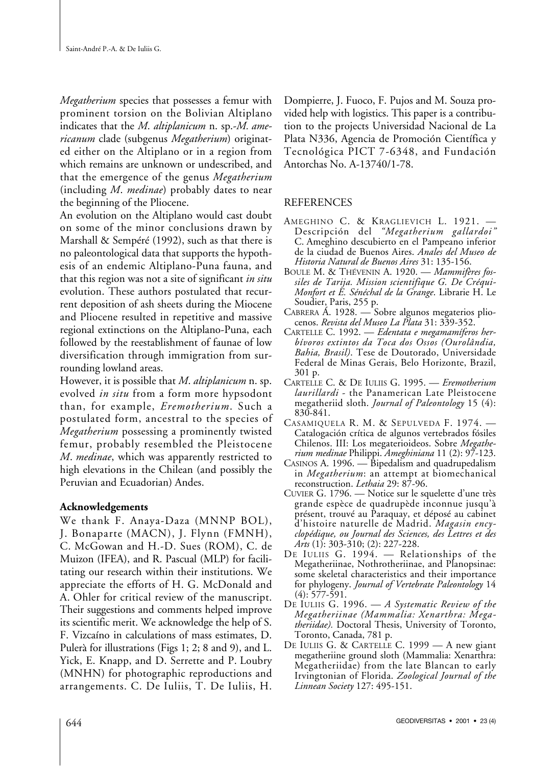*Megatherium* species that possesses a femur with prominent torsion on the Bolivian Altiplano indicates that the *M*. *altiplanicum* n. sp.-*M. americanum* clade (subgenus *Megatherium*) originated either on the Altiplano or in a region from which remains are unknown or undescribed, and that the emergence of the genus *Megatherium* (including *M*. *medinae*) probably dates to near the beginning of the Pliocene.

An evolution on the Altiplano would cast doubt on some of the minor conclusions drawn by Marshall & Sempéré (1992), such as that there is no paleontological data that supports the hypothesis of an endemic Altiplano-Puna fauna, and that this region was not a site of significant *in situ* evolution. These authors postulated that recurrent deposition of ash sheets during the Miocene and Pliocene resulted in repetitive and massive regional extinctions on the Altiplano-Puna, each followed by the reestablishment of faunae of low diversification through immigration from surrounding lowland areas.

However, it is possible that *M*. *altiplanicum* n. sp. evolved *in situ* from a form more hypsodont than, for example, *Eremotherium*. Such a postulated form, ancestral to the species of *Megatherium* possessing a prominently twisted femur, probably resembled the Pleistocene *M*. *medinae*, which was apparently restricted to high elevations in the Chilean (and possibly the Peruvian and Ecuadorian) Andes.

## **Acknowledgements**

We thank F. Anaya-Daza (MNNP BOL), J. Bonaparte (MACN), J. Flynn (FMNH), C. McGowan and H.-D. Sues (ROM), C. de Muizon (IFEA), and R. Pascual (MLP) for facilitating our research within their institutions. We appreciate the efforts of H. G. McDonald and A. Ohler for critical review of the manuscript. Their suggestions and comments helped improve its scientific merit. We acknowledge the help of S. F. Vizcaíno in calculations of mass estimates, D. Pulerà for illustrations (Figs 1; 2; 8 and 9), and L. Yick, E. Knapp, and D. Serrette and P. Loubry (MNHN) for photographic reproductions and arrangements. C. De Iuliis, T. De Iuliis, H. Dompierre, J. Fuoco, F. Pujos and M. Souza provided help with logistics. This paper is a contribution to the projects Universidad Nacional de La Plata N336, Agencia de Promoción Científica y Tecnológica PICT 7-6348, and Fundación Antorchas No. A-13740/1-78.

## **REFERENCES**

- AMEGHINO C. & KRAGLIEVICH L. 1921. -Descripción del *"Megatherium gallardoi"* C. Ameghino descubierto en el Pampeano inferior de la ciudad de Buenos Aires. *Anales del Museo de Historia Natural de Buenos Aires* 31: 135-156.
- BOULE M. & THÉVENIN A. 1920. *Mammifères fossiles de Tarija. Mission scientifique G. De Créqui-Monfort et E. Sénéchal de la Grange*. Librarie H. Le Soudier, Paris, 255 p.
- CABRERA Á. 1928. Sobre algunos megaterios plio- cenos. *Revista del Museo La Plata* 31: 339-352.
- CARTELLE C. 1992. *Edentata e megamamíferos herbívoros extintos da Toca dos Ossos (Ourolândia, Bahia, Brasil)*. Tese de Doutorado, Universidade Federal de Minas Gerais, Belo Horizonte, Brazil, 301 p.
- CARTELLE C. & DE IULIIS G. 1995. *Eremotherium laurillardi* - the Panamerican Late Pleistocene megatheriid sloth. *Journal of Paleontology* 15 (4): 830-841.
- CASAMIQUELA R. M. & SEPULVEDA F. 1974. Catalogación crítica de algunos vertebrados fósiles Chilenos. III: Los megaterioideos. Sobre *Megatherium medinae* Philippi. *Ameghiniana* 11 (2): 97-123.
- CASINOS A. 1996. Bipedalism and quadrupedalism in *Megatherium*: an attempt at biomechanical reconstruction. *Lethaia* 29: 87-96.
- CUVIER G. 1796. Notice sur le squelette d'une très grande espèce de quadrupède inconnue jusqu'à présent, trouvé au Paraquay, et déposé au cabinet d'histoire naturelle de Madrid. *Magasin encyclopédique, ou Journal des Sciences, des Lettres et des Arts* (1): 303-310; (2): 227-228.
- DE IULIIS G. 1994. Relationships of the Megatheriinae, Nothrotheriinae, and Planopsinae: some skeletal characteristics and their importance for phylogeny. *Journal of Vertebrate Paleontology* 14  $(4): 577 - 591.$
- DE IULIIS G. 1996. *A Systematic Review of the Megatheriinae (Mammalia: Xenarthra: Megatheriidae).* Doctoral Thesis, University of Toronto, Toronto, Canada, 781 p.
- DE IULIIS G. & CARTELLE C. 1999 A new giant megatheriine ground sloth (Mammalia: Xenarthra: Megatheriidae) from the late Blancan to early Irvingtonian of Florida. *Zoological Journal of the Linnean Society* 127: 495-151.